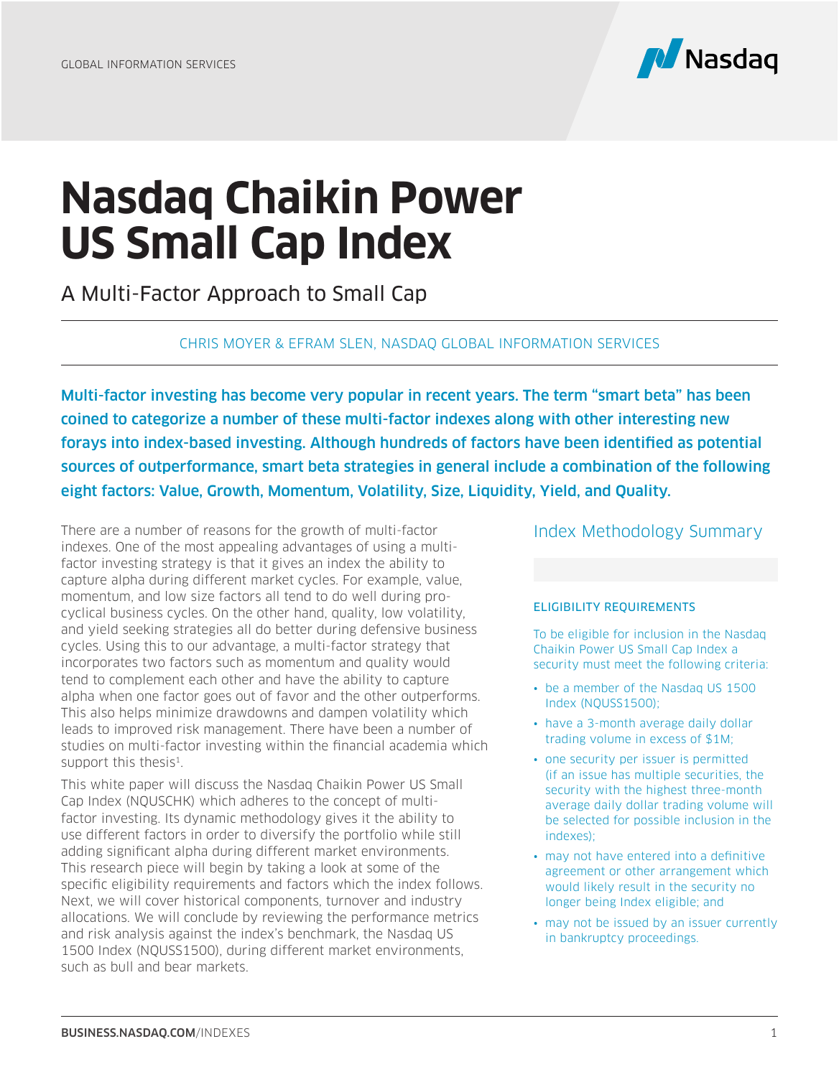

# **Nasdaq Chaikin Power US Small Cap Index**

A Multi-Factor Approach to Small Cap

#### CHRIS MOYER & EFRAM SLEN, NASDAQ GLOBAL INFORMATION SERVICES

Multi-factor investing has become very popular in recent years. The term "smart beta" has been coined to categorize a number of these multi-factor indexes along with other interesting new forays into index-based investing. Although hundreds of factors have been identified as potential sources of outperformance, smart beta strategies in general include a combination of the following eight factors: Value, Growth, Momentum, Volatility, Size, Liquidity, Yield, and Quality.

There are a number of reasons for the growth of multi-factor indexes. One of the most appealing advantages of using a multifactor investing strategy is that it gives an index the ability to capture alpha during different market cycles. For example, value, momentum, and low size factors all tend to do well during procyclical business cycles. On the other hand, quality, low volatility, and yield seeking strategies all do better during defensive business cycles. Using this to our advantage, a multi-factor strategy that incorporates two factors such as momentum and quality would tend to complement each other and have the ability to capture alpha when one factor goes out of favor and the other outperforms. This also helps minimize drawdowns and dampen volatility which leads to improved risk management. There have been a number of studies on multi-factor investing within the financial academia which support this thesis<sup>1</sup>.

This white paper will discuss the Nasdaq Chaikin Power US Small Cap Index (NQUSCHK) which adheres to the concept of multifactor investing. Its dynamic methodology gives it the ability to use different factors in order to diversify the portfolio while still adding significant alpha during different market environments. This research piece will begin by taking a look at some of the specific eligibility requirements and factors which the index follows. Next, we will cover historical components, turnover and industry allocations. We will conclude by reviewing the performance metrics and risk analysis against the index's benchmark, the Nasdaq US 1500 Index (NQUSS1500), during different market environments, such as bull and bear markets.

#### Index Methodology Summary

#### ELIGIBILITY REQUIREMENTS

To be eligible for inclusion in the Nasdaq Chaikin Power US Small Cap Index a security must meet the following criteria:

- be a member of the Nasdaq US 1500 Index (NQUSS1500);
- have a 3-month average daily dollar trading volume in excess of \$1M;
- one security per issuer is permitted (if an issue has multiple securities, the security with the highest three-month average daily dollar trading volume will be selected for possible inclusion in the indexes);
- may not have entered into a definitive agreement or other arrangement which would likely result in the security no longer being Index eligible; and
- may not be issued by an issuer currently in bankruptcy proceedings.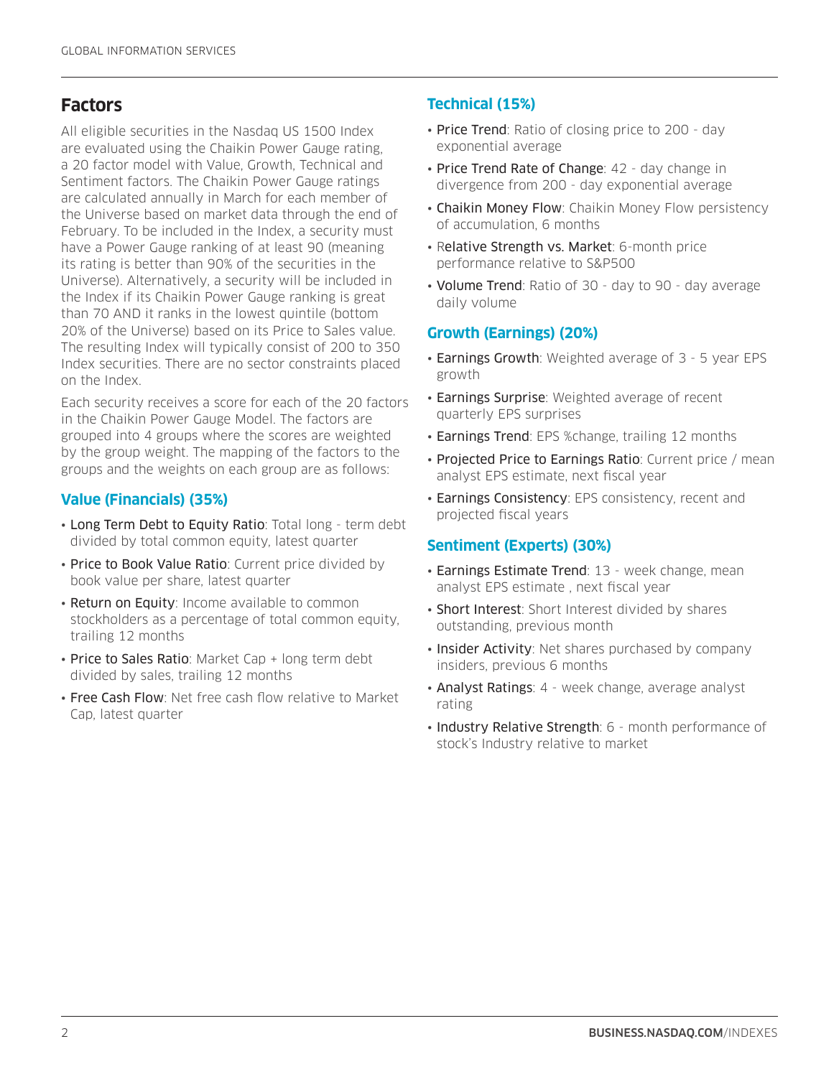# **Factors**

All eligible securities in the Nasdaq US 1500 Index are evaluated using the Chaikin Power Gauge rating, a 20 factor model with Value, Growth, Technical and Sentiment factors. The Chaikin Power Gauge ratings are calculated annually in March for each member of the Universe based on market data through the end of February. To be included in the Index, a security must have a Power Gauge ranking of at least 90 (meaning its rating is better than 90% of the securities in the Universe). Alternatively, a security will be included in the Index if its Chaikin Power Gauge ranking is great than 70 AND it ranks in the lowest quintile (bottom 20% of the Universe) based on its Price to Sales value. The resulting Index will typically consist of 200 to 350 Index securities. There are no sector constraints placed on the Index.

Each security receives a score for each of the 20 factors in the Chaikin Power Gauge Model. The factors are grouped into 4 groups where the scores are weighted by the group weight. The mapping of the factors to the groups and the weights on each group are as follows:

#### **Value (Financials) (35%)**

- Long Term Debt to Equity Ratio: Total long term debt divided by total common equity, latest quarter
- Price to Book Value Ratio: Current price divided by book value per share, latest quarter
- Return on Equity: Income available to common stockholders as a percentage of total common equity, trailing 12 months
- Price to Sales Ratio: Market Cap + long term debt divided by sales, trailing 12 months
- Free Cash Flow: Net free cash flow relative to Market Cap, latest quarter

#### **Technical (15%)**

- Price Trend: Ratio of closing price to 200 day exponential average
- Price Trend Rate of Change: 42 day change in divergence from 200 - day exponential average
- Chaikin Money Flow: Chaikin Money Flow persistency of accumulation, 6 months
- Relative Strength vs. Market: 6-month price performance relative to S&P500
- Volume Trend: Ratio of 30 day to 90 day average daily volume

#### **Growth (Earnings) (20%)**

- Earnings Growth: Weighted average of 3 5 year EPS growth
- Earnings Surprise: Weighted average of recent quarterly EPS surprises
- **Earnings Trend**: EPS %change, trailing 12 months
- Projected Price to Earnings Ratio: Current price / mean analyst EPS estimate, next fiscal year
- Earnings Consistency: EPS consistency, recent and projected fiscal years

#### **Sentiment (Experts) (30%)**

- Earnings Estimate Trend: 13 week change, mean analyst EPS estimate , next fiscal year
- Short Interest: Short Interest divided by shares outstanding, previous month
- Insider Activity: Net shares purchased by company insiders, previous 6 months
- Analyst Ratings: 4 week change, average analyst rating
- Industry Relative Strength: 6 month performance of stock's Industry relative to market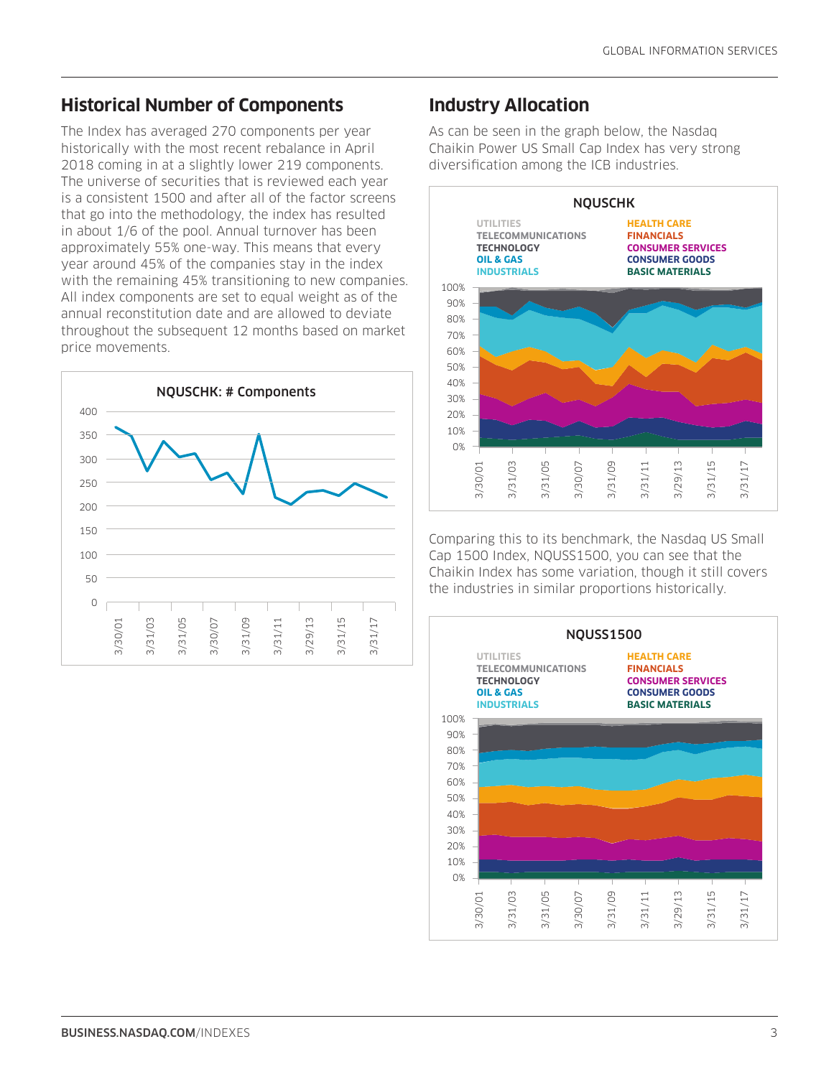#### **Historical Number of Components**

The Index has averaged 270 components per year historically with the most recent rebalance in April 2018 coming in at a slightly lower 219 components. The universe of securities that is reviewed each year is a consistent 1500 and after all of the factor screens that go into the methodology, the index has resulted in about 1/6 of the pool. Annual turnover has been approximately 55% one-way. This means that every year around 45% of the companies stay in the index with the remaining 45% transitioning to new companies. All index components are set to equal weight as of the annual reconstitution date and are allowed to deviate throughout the subsequent 12 months based on market price movements.



#### **Industry Allocation**

As can be seen in the graph below, the Nasdaq Chaikin Power US Small Cap Index has very strong diversification among the ICB industries.



Comparing this to its benchmark, the Nasdaq US Small Cap 1500 Index, NQUSS1500, you can see that the Chaikin Index has some variation, though it still covers the industries in similar proportions historically.

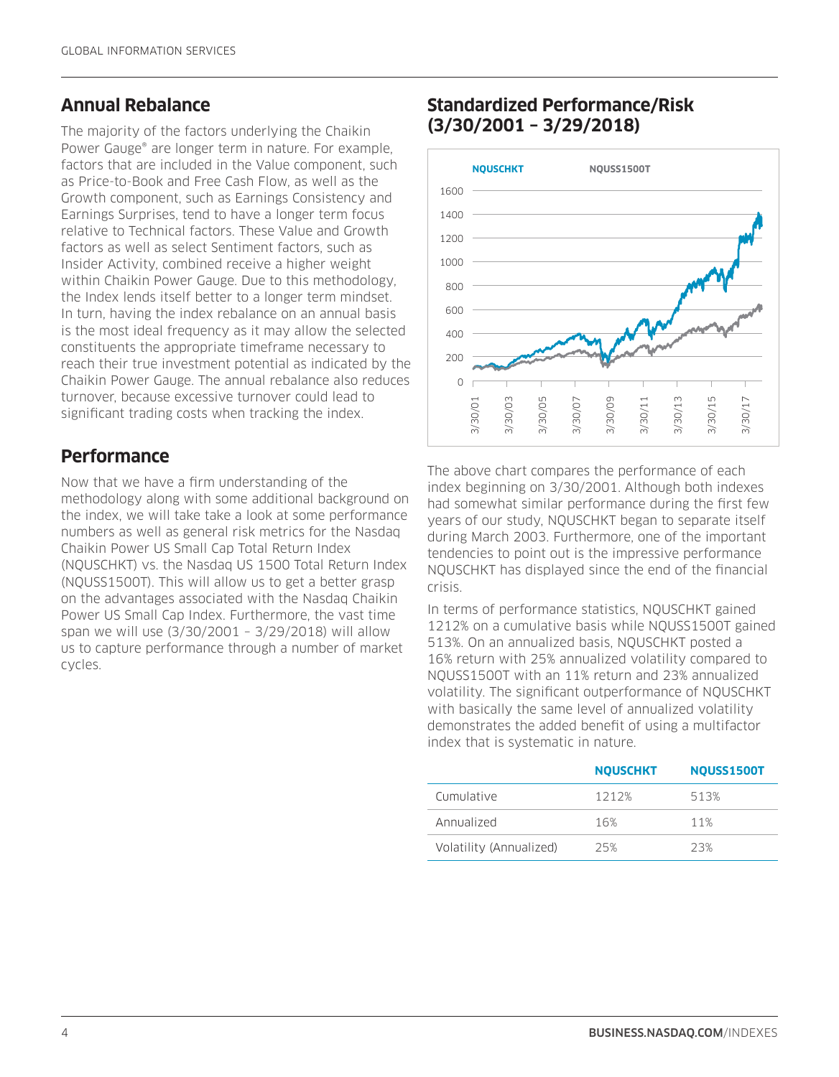#### **Annual Rebalance**

The majority of the factors underlying the Chaikin Power Gauge® are longer term in nature. For example, factors that are included in the Value component, such as Price-to-Book and Free Cash Flow, as well as the Growth component, such as Earnings Consistency and Earnings Surprises, tend to have a longer term focus relative to Technical factors. These Value and Growth factors as well as select Sentiment factors, such as Insider Activity, combined receive a higher weight within Chaikin Power Gauge. Due to this methodology, the Index lends itself better to a longer term mindset. In turn, having the index rebalance on an annual basis is the most ideal frequency as it may allow the selected constituents the appropriate timeframe necessary to reach their true investment potential as indicated by the Chaikin Power Gauge. The annual rebalance also reduces turnover, because excessive turnover could lead to significant trading costs when tracking the index.

## **Performance**

Now that we have a firm understanding of the methodology along with some additional background on the index, we will take take a look at some performance numbers as well as general risk metrics for the Nasdaq Chaikin Power US Small Cap Total Return Index (NQUSCHKT) vs. the Nasdaq US 1500 Total Return Index (NQUSS1500T). This will allow us to get a better grasp on the advantages associated with the Nasdaq Chaikin Power US Small Cap Index. Furthermore, the vast time span we will use (3/30/2001 – 3/29/2018) will allow us to capture performance through a number of market cycles.

#### **Standardized Performance/Risk (3/30/2001 – 3/29/2018)**



The above chart compares the performance of each index beginning on 3/30/2001. Although both indexes had somewhat similar performance during the first few years of our study, NQUSCHKT began to separate itself during March 2003. Furthermore, one of the important tendencies to point out is the impressive performance NQUSCHKT has displayed since the end of the financial crisis.

In terms of performance statistics, NQUSCHKT gained 1212% on a cumulative basis while NQUSS1500T gained 513%. On an annualized basis, NQUSCHKT posted a 16% return with 25% annualized volatility compared to NQUSS1500T with an 11% return and 23% annualized volatility. The significant outperformance of NQUSCHKT with basically the same level of annualized volatility demonstrates the added benefit of using a multifactor index that is systematic in nature.

|                         | <b>NOUSCHKT</b> | <b>NOUSS1500T</b> |
|-------------------------|-----------------|-------------------|
| Cumulative              | 1212%           | 513%              |
| Annualized              | 16%             | 11%               |
| Volatility (Annualized) | 25%             | 23%               |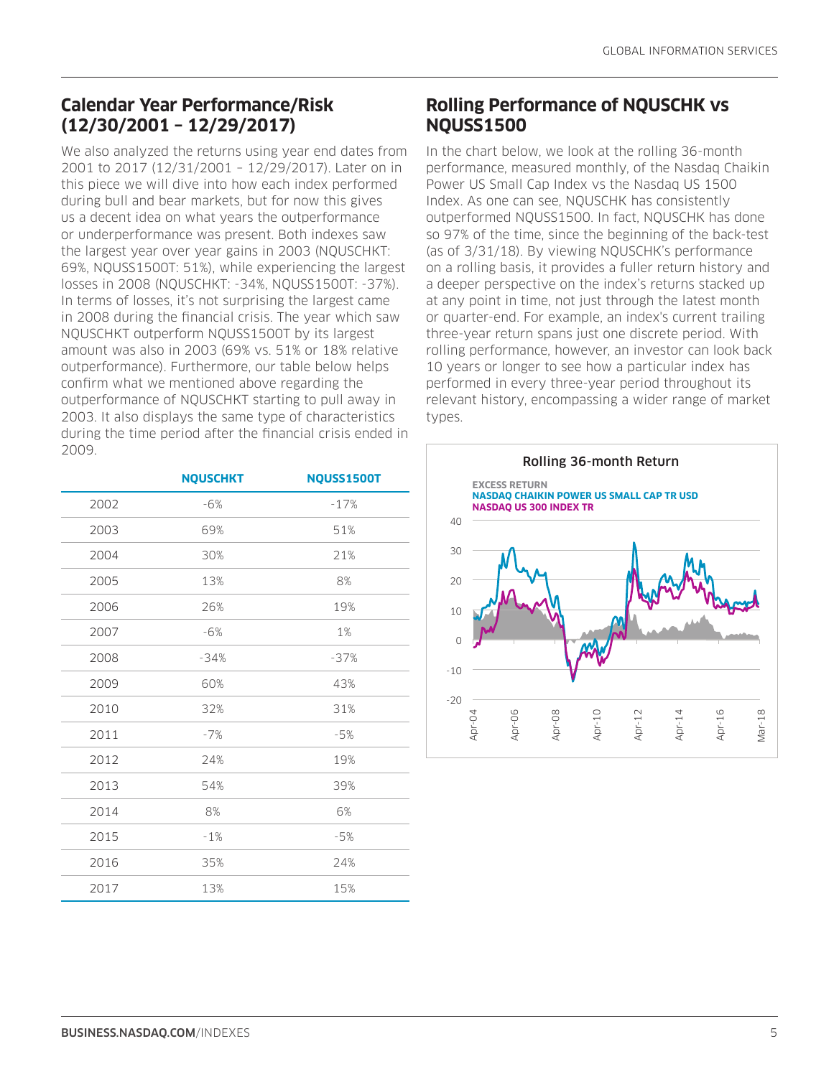## **Calendar Year Performance/Risk (12/30/2001 – 12/29/2017)**

We also analyzed the returns using year end dates from 2001 to 2017 (12/31/2001 – 12/29/2017). Later on in this piece we will dive into how each index performed during bull and bear markets, but for now this gives us a decent idea on what years the outperformance or underperformance was present. Both indexes saw the largest year over year gains in 2003 (NQUSCHKT: 69%, NQUSS1500T: 51%), while experiencing the largest losses in 2008 (NQUSCHKT: -34%, NQUSS1500T: -37%). In terms of losses, it's not surprising the largest came in 2008 during the financial crisis. The year which saw NQUSCHKT outperform NQUSS1500T by its largest amount was also in 2003 (69% vs. 51% or 18% relative outperformance). Furthermore, our table below helps confirm what we mentioned above regarding the outperformance of NQUSCHKT starting to pull away in 2003. It also displays the same type of characteristics during the time period after the financial crisis ended in 2009.

|      | <b>NQUSCHKT</b> | <b>NQUSS1500T</b> |
|------|-----------------|-------------------|
| 2002 | $-6%$           | $-17%$            |
| 2003 | 69%             | 51%               |
| 2004 | 30%             | 21%               |
| 2005 | 13%             | 8%                |
| 2006 | 26%             | 19%               |
| 2007 | $-6%$           | 1%                |
| 2008 | $-34%$          | $-37%$            |
| 2009 | 60%             | 43%               |
| 2010 | 32%             | 31%               |
| 2011 | $-7%$           | $-5%$             |
| 2012 | 24%             | 19%               |
| 2013 | 54%             | 39%               |
| 2014 | 8%              | 6%                |
| 2015 | $-1%$           | $-5%$             |
| 2016 | 35%             | 24%               |
| 2017 | 13%             | 15%               |

## **Rolling Performance of NQUSCHK vs NQUSS1500**

In the chart below, we look at the rolling 36-month performance, measured monthly, of the Nasdaq Chaikin Power US Small Cap Index vs the Nasdaq US 1500 Index. As one can see, NQUSCHK has consistently outperformed NQUSS1500. In fact, NQUSCHK has done so 97% of the time, since the beginning of the back-test (as of 3/31/18). By viewing NQUSCHK's performance on a rolling basis, it provides a fuller return history and a deeper perspective on the index's returns stacked up at any point in time, not just through the latest month or quarter-end. For example, an index's current trailing three-year return spans just one discrete period. With rolling performance, however, an investor can look back 10 years or longer to see how a particular index has performed in every three-year period throughout its relevant history, encompassing a wider range of market types.

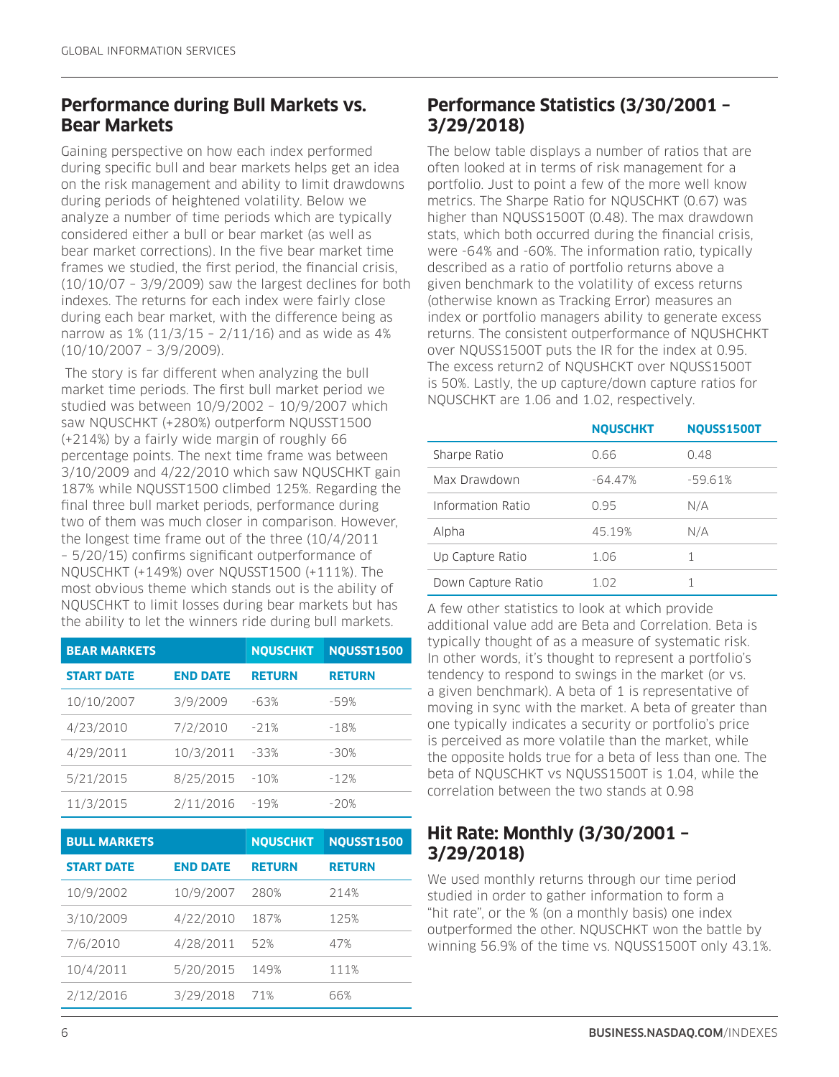#### **Performance during Bull Markets vs. Bear Markets**

Gaining perspective on how each index performed during specific bull and bear markets helps get an idea on the risk management and ability to limit drawdowns during periods of heightened volatility. Below we analyze a number of time periods which are typically considered either a bull or bear market (as well as bear market corrections). In the five bear market time frames we studied, the first period, the financial crisis,  $(10/10/07 - 3/9/2009)$  saw the largest declines for both indexes. The returns for each index were fairly close during each bear market, with the difference being as narrow as  $1\%$  (11/3/15 - 2/11/16) and as wide as 4% (10/10/2007 – 3/9/2009).

 The story is far different when analyzing the bull market time periods. The first bull market period we studied was between 10/9/2002 – 10/9/2007 which saw NQUSCHKT (+280%) outperform NQUSST1500 (+214%) by a fairly wide margin of roughly 66 percentage points. The next time frame was between 3/10/2009 and 4/22/2010 which saw NQUSCHKT gain 187% while NQUSST1500 climbed 125%. Regarding the final three bull market periods, performance during two of them was much closer in comparison. However, the longest time frame out of the three (10/4/2011 – 5/20/15) confirms significant outperformance of NQUSCHKT (+149%) over NQUSST1500 (+111%). The most obvious theme which stands out is the ability of NQUSCHKT to limit losses during bear markets but has the ability to let the winners ride during bull markets.

| <b>BEAR MARKETS</b> |                 | <b>NOUSCHKT</b> | NQUSST1500    |
|---------------------|-----------------|-----------------|---------------|
| <b>START DATE</b>   | <b>END DATE</b> | <b>RETURN</b>   | <b>RETURN</b> |
| 10/10/2007          | 3/9/2009        | $-63%$          | $-59%$        |
| 4/23/2010           | 7/2/2010        | $-21%$          | $-18%$        |
| 4/29/2011           | 10/3/2011       | $-33%$          | $-30%$        |
| 5/21/2015           | 8/25/2015       | $-10%$          | $-12%$        |
| 11/3/2015           | 2/11/2016       | $-19%$          | $-20%$        |

| <b>BULL MARKETS</b> |                 | <b>NQUSCHKT</b> | <b>NQUSST1500</b> |
|---------------------|-----------------|-----------------|-------------------|
| <b>START DATE</b>   | <b>END DATE</b> | <b>RETURN</b>   | <b>RETURN</b>     |
| 10/9/2002           | 10/9/2007       | 280%            | 214%              |
| 3/10/2009           | 4/22/2010       | 187%            | 125%              |
| 7/6/2010            | 4/28/2011       | 52%             | 47%               |
| 10/4/2011           | 5/20/2015       | 149%            | 111%              |
| 2/12/2016           | 3/29/2018       | 71%             | 66%               |

## **Performance Statistics (3/30/2001 – 3/29/2018)**

The below table displays a number of ratios that are often looked at in terms of risk management for a portfolio. Just to point a few of the more well know metrics. The Sharpe Ratio for NQUSCHKT (0.67) was higher than NQUSS1500T (0.48). The max drawdown stats, which both occurred during the financial crisis, were -64% and -60%. The information ratio, typically described as a ratio of portfolio returns above a given benchmark to the volatility of excess returns (otherwise known as Tracking Error) measures an index or portfolio managers ability to generate excess returns. The consistent outperformance of NQUSHCHKT over NQUSS1500T puts the IR for the index at 0.95. The excess return2 of NQUSHCKT over NQUSS1500T is 50%. Lastly, the up capture/down capture ratios for NQUSCHKT are 1.06 and 1.02, respectively.

|                    | <b>NOUSCHKT</b> | <b>NQUSS1500T</b> |
|--------------------|-----------------|-------------------|
| Sharpe Ratio       | 0.66            | 0.48              |
| Max Drawdown       | $-64.47%$       | $-59.61%$         |
| Information Ratio  | 0.95            | N/A               |
| Alpha              | 45.19%          | N/A               |
| Up Capture Ratio   | 1.06            | 1                 |
| Down Capture Ratio | 1 02            | 1                 |

A few other statistics to look at which provide additional value add are Beta and Correlation. Beta is typically thought of as a measure of systematic risk. In other words, it's thought to represent a portfolio's tendency to respond to swings in the market (or vs. a given benchmark). A beta of 1 is representative of moving in sync with the market. A beta of greater than one typically indicates a security or portfolio's price is perceived as more volatile than the market, while the opposite holds true for a beta of less than one. The beta of NQUSCHKT vs NQUSS1500T is 1.04, while the correlation between the two stands at 0.98

## **Hit Rate: Monthly (3/30/2001 – 3/29/2018)**

We used monthly returns through our time period studied in order to gather information to form a "hit rate", or the % (on a monthly basis) one index outperformed the other. NQUSCHKT won the battle by winning 56.9% of the time vs. NQUSS1500T only 43.1%.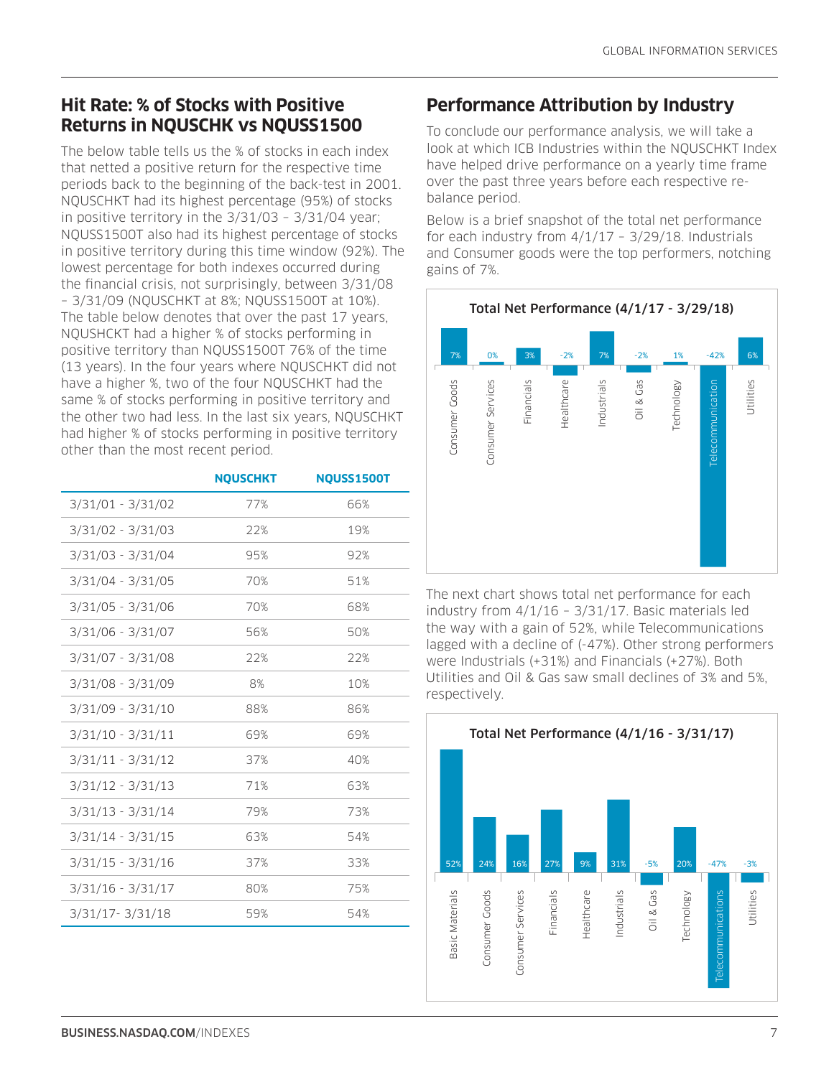# **Hit Rate: % of Stocks with Positive Returns in NQUSCHK vs NQUSS1500**

The below table tells us the % of stocks in each index that netted a positive return for the respective time periods back to the beginning of the back-test in 2001. NQUSCHKT had its highest percentage (95%) of stocks in positive territory in the 3/31/03 – 3/31/04 year; NQUSS1500T also had its highest percentage of stocks in positive territory during this time window (92%). The lowest percentage for both indexes occurred during the financial crisis, not surprisingly, between 3/31/08 – 3/31/09 (NQUSCHKT at 8%; NQUSS1500T at 10%). The table below denotes that over the past 17 years, NQUSHCKT had a higher % of stocks performing in positive territory than NQUSS1500T 76% of the time (13 years). In the four years where NQUSCHKT did not have a higher %, two of the four NQUSCHKT had the same % of stocks performing in positive territory and the other two had less. In the last six years, NQUSCHKT had higher % of stocks performing in positive territory other than the most recent period.

|                     | <b>NQUSCHKT</b> | <b>NQUSS1500T</b> |
|---------------------|-----------------|-------------------|
| $3/31/01 - 3/31/02$ | 77%             | 66%               |
| $3/31/02 - 3/31/03$ | 22%             | 19%               |
| $3/31/03 - 3/31/04$ | 95%             | 92%               |
| $3/31/04 - 3/31/05$ | 70%             | 51%               |
| $3/31/05 - 3/31/06$ | 70%             | 68%               |
| $3/31/06 - 3/31/07$ | 56%             | 50%               |
| $3/31/07 - 3/31/08$ | 22%             | 22%               |
| 3/31/08 - 3/31/09   | 8%              | 10%               |
| $3/31/09 - 3/31/10$ | 88%             | 86%               |
| $3/31/10 - 3/31/11$ | 69%             | 69%               |
| $3/31/11 - 3/31/12$ | 37%             | 40%               |
| $3/31/12 - 3/31/13$ | 71%             | 63%               |
| $3/31/13 - 3/31/14$ | 79%             | 73%               |
| $3/31/14 - 3/31/15$ | 63%             | 54%               |
| $3/31/15 - 3/31/16$ | 37%             | 33%               |
| $3/31/16 - 3/31/17$ | 80%             | 75%               |
| 3/31/17-3/31/18     | 59%             | 54%               |

# **Performance Attribution by Industry**

To conclude our performance analysis, we will take a look at which ICB Industries within the NQUSCHKT Index have helped drive performance on a yearly time frame over the past three years before each respective rebalance period.

Below is a brief snapshot of the total net performance for each industry from 4/1/17 – 3/29/18. Industrials and Consumer goods were the top performers, notching gains of 7%.



The next chart shows total net performance for each industry from 4/1/16 – 3/31/17. Basic materials led the way with a gain of 52%, while Telecommunications lagged with a decline of (-47%). Other strong performers were Industrials (+31%) and Financials (+27%). Both Utilities and Oil & Gas saw small declines of 3% and 5%,